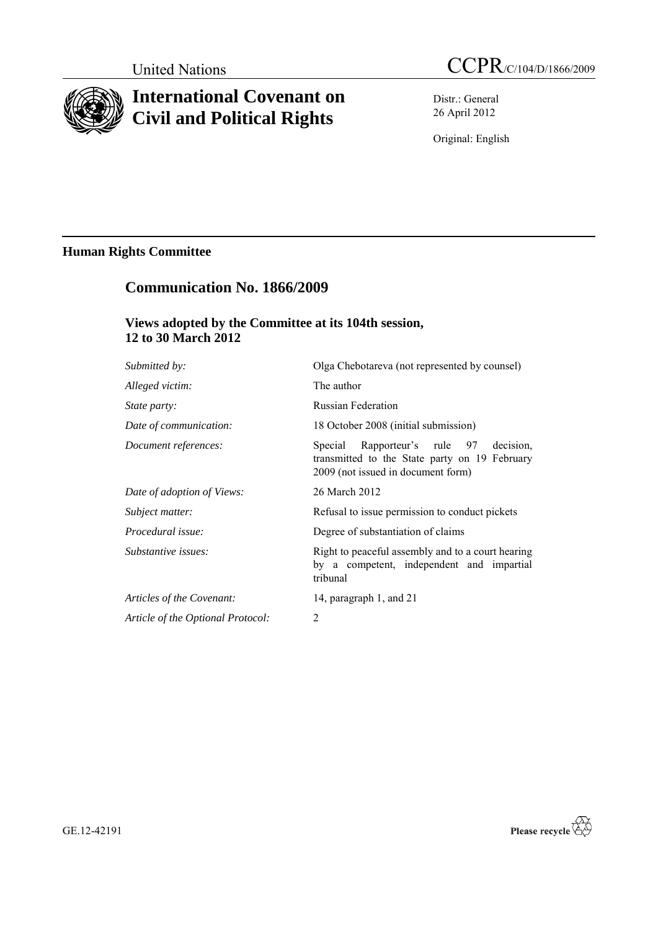

# **International Covenant on Civil and Political Rights**

Distr.: General 26 April 2012

Original: English

## **Human Rights Committee**

## **Communication No. 1866/2009**

## **Views adopted by the Committee at its 104th session, 12 to 30 March 2012**

| Submitted by:                     | Olga Chebotareva (not represented by counsel)                                                                                    |
|-----------------------------------|----------------------------------------------------------------------------------------------------------------------------------|
| Alleged victim:                   | The author                                                                                                                       |
| <i>State party:</i>               | <b>Russian Federation</b>                                                                                                        |
| Date of communication:            | 18 October 2008 (initial submission)                                                                                             |
| Document references:              | Special Rapporteur's rule 97<br>decision.<br>transmitted to the State party on 19 February<br>2009 (not issued in document form) |
| Date of adoption of Views:        | 26 March 2012                                                                                                                    |
| Subject matter:                   | Refusal to issue permission to conduct pickets                                                                                   |
| Procedural issue:                 | Degree of substantiation of claims                                                                                               |
| Substantive issues:               | Right to peaceful assembly and to a court hearing<br>by a competent, independent and impartial<br>tribunal                       |
| Articles of the Covenant:         | 14, paragraph 1, and 21                                                                                                          |
| Article of the Optional Protocol: | 2                                                                                                                                |
|                                   |                                                                                                                                  |



GE.12-42191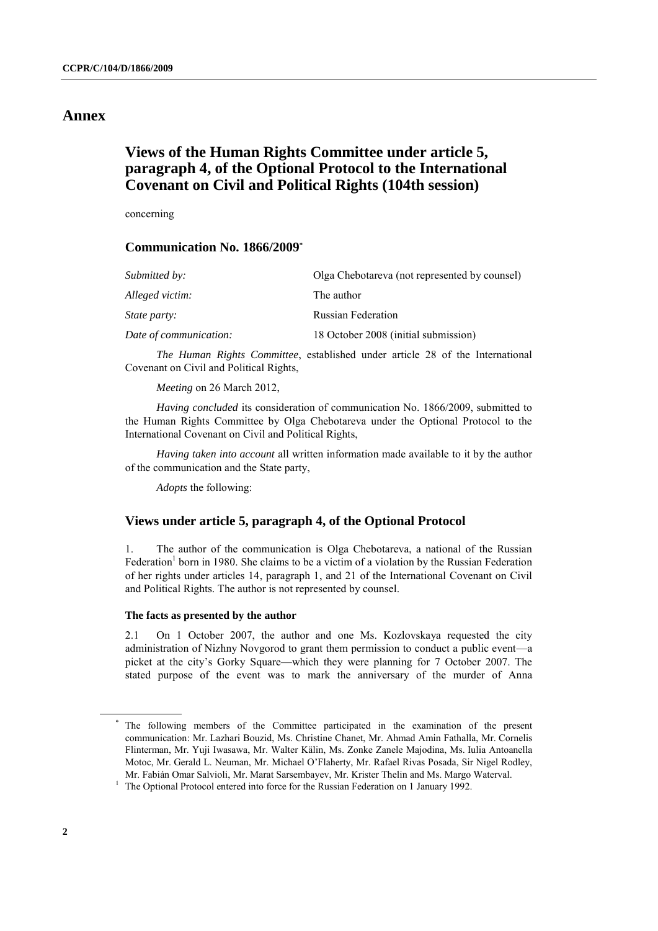## **Annex**

## **Views of the Human Rights Committee under article 5, paragraph 4, of the Optional Protocol to the International Covenant on Civil and Political Rights (104th session)**

concerning

### **Communication No. 1866/2009\***

| Submitted by:          | Olga Chebotareva (not represented by counsel) |
|------------------------|-----------------------------------------------|
| Alleged victim:        | The author                                    |
| <i>State party:</i>    | <b>Russian Federation</b>                     |
| Date of communication: | 18 October 2008 (initial submission)          |

*The Human Rights Committee*, established under article 28 of the International Covenant on Civil and Political Rights,

*Meeting* on 26 March 2012,

*Having concluded* its consideration of communication No. 1866/2009, submitted to the Human Rights Committee by Olga Chebotareva under the Optional Protocol to the International Covenant on Civil and Political Rights,

*Having taken into account* all written information made available to it by the author of the communication and the State party,

*Adopts* the following:

#### **Views under article 5, paragraph 4, of the Optional Protocol**

1. The author of the communication is Olga Chebotareva, a national of the Russian Federation<sup>1</sup> born in 1980. She claims to be a victim of a violation by the Russian Federation of her rights under articles 14, paragraph 1, and 21 of the International Covenant on Civil and Political Rights. The author is not represented by counsel.

#### **The facts as presented by the author**

2.1 On 1 October 2007, the author and one Ms. Kozlovskaya requested the city administration of Nizhny Novgorod to grant them permission to conduct a public event—a picket at the city's Gorky Square—which they were planning for 7 October 2007. The stated purpose of the event was to mark the anniversary of the murder of Anna

The following members of the Committee participated in the examination of the present communication: Mr. Lazhari Bouzid, Ms. Christine Chanet, Mr. Ahmad Amin Fathalla, Mr. Cornelis Flinterman, Mr. Yuji Iwasawa, Mr. Walter Kälin, Ms. Zonke Zanele Majodina, Ms. Iulia Antoanella Motoc, Mr. Gerald L. Neuman, Mr. Michael O'Flaherty, Mr. Rafael Rivas Posada, Sir Nigel Rodley, Mr. Fabián Omar Salvioli, Mr. Marat Sarsembayev, Mr. Krister Thelin and Ms. Margo Waterval.

 $1$  The Optional Protocol entered into force for the Russian Federation on 1 January 1992.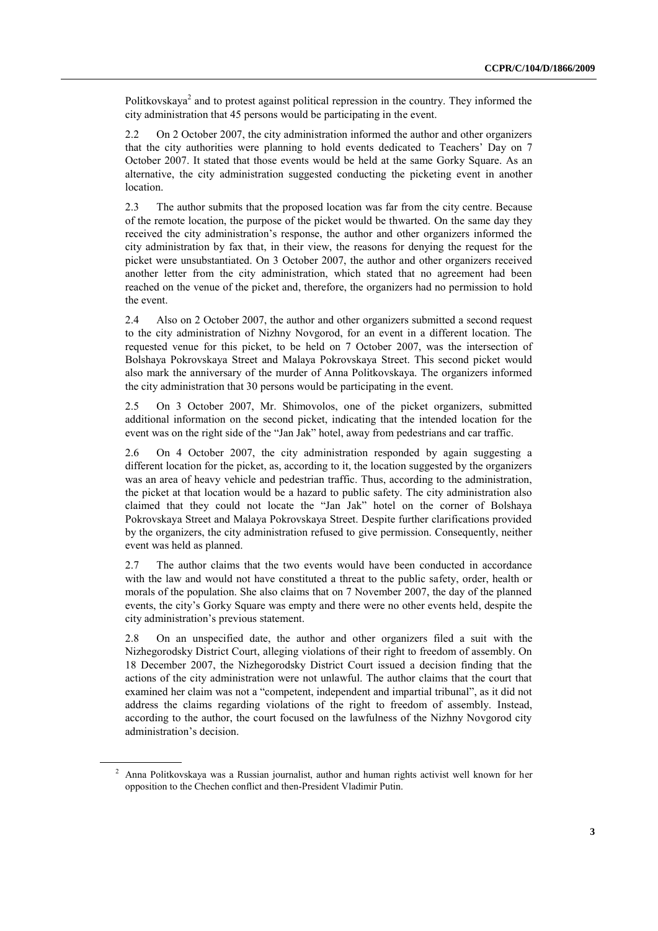Politkovskaya<sup>2</sup> and to protest against political repression in the country. They informed the city administration that 45 persons would be participating in the event.

2.2 On 2 October 2007, the city administration informed the author and other organizers that the city authorities were planning to hold events dedicated to Teachers' Day on 7 October 2007. It stated that those events would be held at the same Gorky Square. As an alternative, the city administration suggested conducting the picketing event in another location.

2.3 The author submits that the proposed location was far from the city centre. Because of the remote location, the purpose of the picket would be thwarted. On the same day they received the city administration's response, the author and other organizers informed the city administration by fax that, in their view, the reasons for denying the request for the picket were unsubstantiated. On 3 October 2007, the author and other organizers received another letter from the city administration, which stated that no agreement had been reached on the venue of the picket and, therefore, the organizers had no permission to hold the event.

2.4 Also on 2 October 2007, the author and other organizers submitted a second request to the city administration of Nizhny Novgorod, for an event in a different location. The requested venue for this picket, to be held on 7 October 2007, was the intersection of Bolshaya Pokrovskaya Street and Malaya Pokrovskaya Street. This second picket would also mark the anniversary of the murder of Anna Politkovskaya. The organizers informed the city administration that 30 persons would be participating in the event.

2.5 On 3 October 2007, Mr. Shimovolos, one of the picket organizers, submitted additional information on the second picket, indicating that the intended location for the event was on the right side of the "Jan Jak" hotel, away from pedestrians and car traffic.

2.6 On 4 October 2007, the city administration responded by again suggesting a different location for the picket, as, according to it, the location suggested by the organizers was an area of heavy vehicle and pedestrian traffic. Thus, according to the administration, the picket at that location would be a hazard to public safety. The city administration also claimed that they could not locate the "Jan Jak" hotel on the corner of Bolshaya Pokrovskaya Street and Malaya Pokrovskaya Street. Despite further clarifications provided by the organizers, the city administration refused to give permission. Consequently, neither event was held as planned.

2.7 The author claims that the two events would have been conducted in accordance with the law and would not have constituted a threat to the public safety, order, health or morals of the population. She also claims that on 7 November 2007, the day of the planned events, the city's Gorky Square was empty and there were no other events held, despite the city administration's previous statement.

2.8 On an unspecified date, the author and other organizers filed a suit with the Nizhegorodsky District Court, alleging violations of their right to freedom of assembly. On 18 December 2007, the Nizhegorodsky District Court issued a decision finding that the actions of the city administration were not unlawful. The author claims that the court that examined her claim was not a "competent, independent and impartial tribunal", as it did not address the claims regarding violations of the right to freedom of assembly. Instead, according to the author, the court focused on the lawfulness of the Nizhny Novgorod city administration's decision.

<sup>&</sup>lt;sup>2</sup> Anna Politkovskaya was a Russian journalist, author and human rights activist well known for her opposition to the Chechen conflict and then-President Vladimir Putin.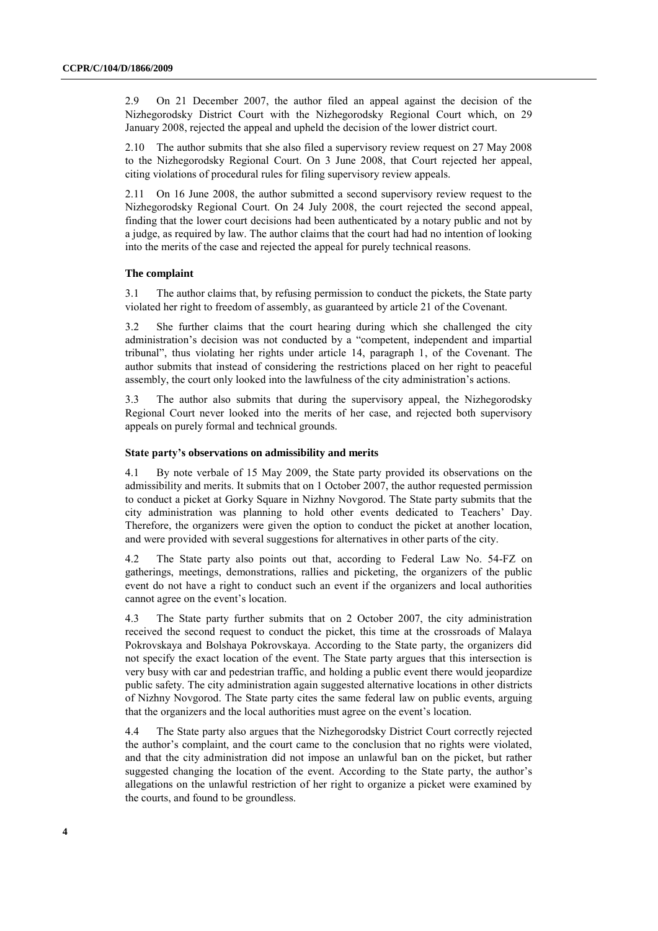2.9 On 21 December 2007, the author filed an appeal against the decision of the Nizhegorodsky District Court with the Nizhegorodsky Regional Court which, on 29 January 2008, rejected the appeal and upheld the decision of the lower district court.

2.10 The author submits that she also filed a supervisory review request on 27 May 2008 to the Nizhegorodsky Regional Court. On 3 June 2008, that Court rejected her appeal, citing violations of procedural rules for filing supervisory review appeals.

2.11 On 16 June 2008, the author submitted a second supervisory review request to the Nizhegorodsky Regional Court. On 24 July 2008, the court rejected the second appeal, finding that the lower court decisions had been authenticated by a notary public and not by a judge, as required by law. The author claims that the court had had no intention of looking into the merits of the case and rejected the appeal for purely technical reasons.

#### **The complaint**

3.1 The author claims that, by refusing permission to conduct the pickets, the State party violated her right to freedom of assembly, as guaranteed by article 21 of the Covenant.

3.2 She further claims that the court hearing during which she challenged the city administration's decision was not conducted by a "competent, independent and impartial tribunal", thus violating her rights under article 14, paragraph 1, of the Covenant. The author submits that instead of considering the restrictions placed on her right to peaceful assembly, the court only looked into the lawfulness of the city administration's actions.

3.3 The author also submits that during the supervisory appeal, the Nizhegorodsky Regional Court never looked into the merits of her case, and rejected both supervisory appeals on purely formal and technical grounds.

#### **State party's observations on admissibility and merits**

4.1 By note verbale of 15 May 2009, the State party provided its observations on the admissibility and merits. It submits that on 1 October 2007, the author requested permission to conduct a picket at Gorky Square in Nizhny Novgorod. The State party submits that the city administration was planning to hold other events dedicated to Teachers' Day. Therefore, the organizers were given the option to conduct the picket at another location, and were provided with several suggestions for alternatives in other parts of the city.

4.2 The State party also points out that, according to Federal Law No. 54-FZ on gatherings, meetings, demonstrations, rallies and picketing, the organizers of the public event do not have a right to conduct such an event if the organizers and local authorities cannot agree on the event's location.

4.3 The State party further submits that on 2 October 2007, the city administration received the second request to conduct the picket, this time at the crossroads of Malaya Pokrovskaya and Bolshaya Pokrovskaya. According to the State party, the organizers did not specify the exact location of the event. The State party argues that this intersection is very busy with car and pedestrian traffic, and holding a public event there would jeopardize public safety. The city administration again suggested alternative locations in other districts of Nizhny Novgorod. The State party cites the same federal law on public events, arguing that the organizers and the local authorities must agree on the event's location.

4.4 The State party also argues that the Nizhegorodsky District Court correctly rejected the author's complaint, and the court came to the conclusion that no rights were violated, and that the city administration did not impose an unlawful ban on the picket, but rather suggested changing the location of the event. According to the State party, the author's allegations on the unlawful restriction of her right to organize a picket were examined by the courts, and found to be groundless.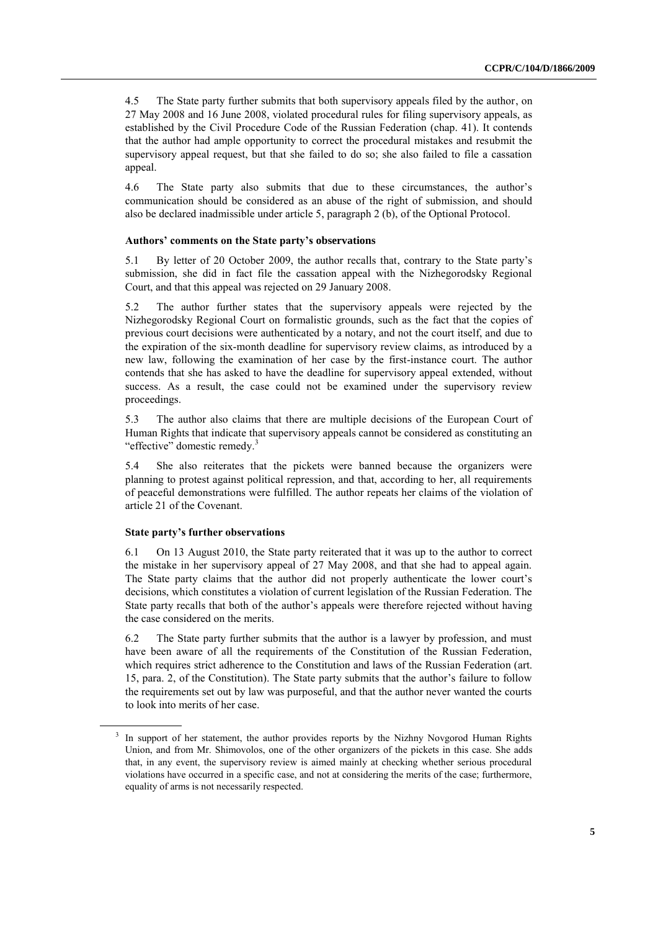4.5 The State party further submits that both supervisory appeals filed by the author, on 27 May 2008 and 16 June 2008, violated procedural rules for filing supervisory appeals, as established by the Civil Procedure Code of the Russian Federation (chap. 41). It contends that the author had ample opportunity to correct the procedural mistakes and resubmit the supervisory appeal request, but that she failed to do so; she also failed to file a cassation appeal.

4.6 The State party also submits that due to these circumstances, the author's communication should be considered as an abuse of the right of submission, and should also be declared inadmissible under article 5, paragraph 2 (b), of the Optional Protocol.

#### **Authors' comments on the State party's observations**

5.1 By letter of 20 October 2009, the author recalls that, contrary to the State party's submission, she did in fact file the cassation appeal with the Nizhegorodsky Regional Court, and that this appeal was rejected on 29 January 2008.

5.2 The author further states that the supervisory appeals were rejected by the Nizhegorodsky Regional Court on formalistic grounds, such as the fact that the copies of previous court decisions were authenticated by a notary, and not the court itself, and due to the expiration of the six-month deadline for supervisory review claims, as introduced by a new law, following the examination of her case by the first-instance court. The author contends that she has asked to have the deadline for supervisory appeal extended, without success. As a result, the case could not be examined under the supervisory review proceedings.

5.3 The author also claims that there are multiple decisions of the European Court of Human Rights that indicate that supervisory appeals cannot be considered as constituting an "effective" domestic remedy.<sup>3</sup>

5.4 She also reiterates that the pickets were banned because the organizers were planning to protest against political repression, and that, according to her, all requirements of peaceful demonstrations were fulfilled. The author repeats her claims of the violation of article 21 of the Covenant.

#### **State party's further observations**

6.1 On 13 August 2010, the State party reiterated that it was up to the author to correct the mistake in her supervisory appeal of 27 May 2008, and that she had to appeal again. The State party claims that the author did not properly authenticate the lower court's decisions, which constitutes a violation of current legislation of the Russian Federation. The State party recalls that both of the author's appeals were therefore rejected without having the case considered on the merits.

6.2 The State party further submits that the author is a lawyer by profession, and must have been aware of all the requirements of the Constitution of the Russian Federation, which requires strict adherence to the Constitution and laws of the Russian Federation (art. 15, para. 2, of the Constitution). The State party submits that the author's failure to follow the requirements set out by law was purposeful, and that the author never wanted the courts to look into merits of her case.

<sup>&</sup>lt;sup>3</sup> In support of her statement, the author provides reports by the Nizhny Novgorod Human Rights Union, and from Mr. Shimovolos, one of the other organizers of the pickets in this case. She adds that, in any event, the supervisory review is aimed mainly at checking whether serious procedural violations have occurred in a specific case, and not at considering the merits of the case; furthermore, equality of arms is not necessarily respected.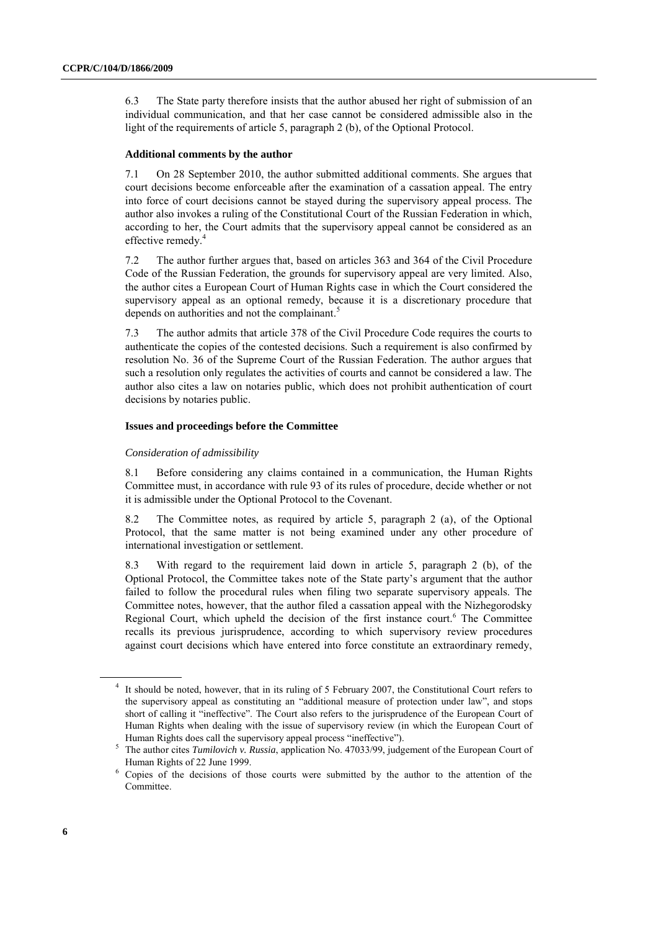6.3 The State party therefore insists that the author abused her right of submission of an individual communication, and that her case cannot be considered admissible also in the light of the requirements of article 5, paragraph 2 (b), of the Optional Protocol.

#### **Additional comments by the author**

7.1 On 28 September 2010, the author submitted additional comments. She argues that court decisions become enforceable after the examination of a cassation appeal. The entry into force of court decisions cannot be stayed during the supervisory appeal process. The author also invokes a ruling of the Constitutional Court of the Russian Federation in which, according to her, the Court admits that the supervisory appeal cannot be considered as an effective remedy. 4

7.2 The author further argues that, based on articles 363 and 364 of the Civil Procedure Code of the Russian Federation, the grounds for supervisory appeal are very limited. Also, the author cites a European Court of Human Rights case in which the Court considered the supervisory appeal as an optional remedy, because it is a discretionary procedure that depends on authorities and not the complainant.<sup>5</sup>

7.3 The author admits that article 378 of the Civil Procedure Code requires the courts to authenticate the copies of the contested decisions. Such a requirement is also confirmed by resolution No. 36 of the Supreme Court of the Russian Federation. The author argues that such a resolution only regulates the activities of courts and cannot be considered a law. The author also cites a law on notaries public, which does not prohibit authentication of court decisions by notaries public.

#### **Issues and proceedings before the Committee**

#### *Consideration of admissibility*

8.1 Before considering any claims contained in a communication, the Human Rights Committee must, in accordance with rule 93 of its rules of procedure, decide whether or not it is admissible under the Optional Protocol to the Covenant.

8.2 The Committee notes, as required by article 5, paragraph 2 (a), of the Optional Protocol, that the same matter is not being examined under any other procedure of international investigation or settlement.

8.3 With regard to the requirement laid down in article 5, paragraph 2 (b), of the Optional Protocol, the Committee takes note of the State party's argument that the author failed to follow the procedural rules when filing two separate supervisory appeals. The Committee notes, however, that the author filed a cassation appeal with the Nizhegorodsky Regional Court, which upheld the decision of the first instance court. <sup>6</sup> The Committee recalls its previous jurisprudence, according to which supervisory review procedures against court decisions which have entered into force constitute an extraordinary remedy,

<sup>&</sup>lt;sup>4</sup> It should be noted, however, that in its ruling of 5 February 2007, the Constitutional Court refers to the supervisory appeal as constituting an "additional measure of protection under law", and stops short of calling it "ineffective". The Court also refers to the jurisprudence of the European Court of Human Rights when dealing with the issue of supervisory review (in which the European Court of Human Rights does call the supervisory appeal process "ineffective").

<sup>5</sup> The author cites *Tumilovich v. Russia*, application No. 47033/99, judgement of the European Court of Human Rights of 22 June 1999.

<sup>6</sup> Copies of the decisions of those courts were submitted by the author to the attention of the **Committee**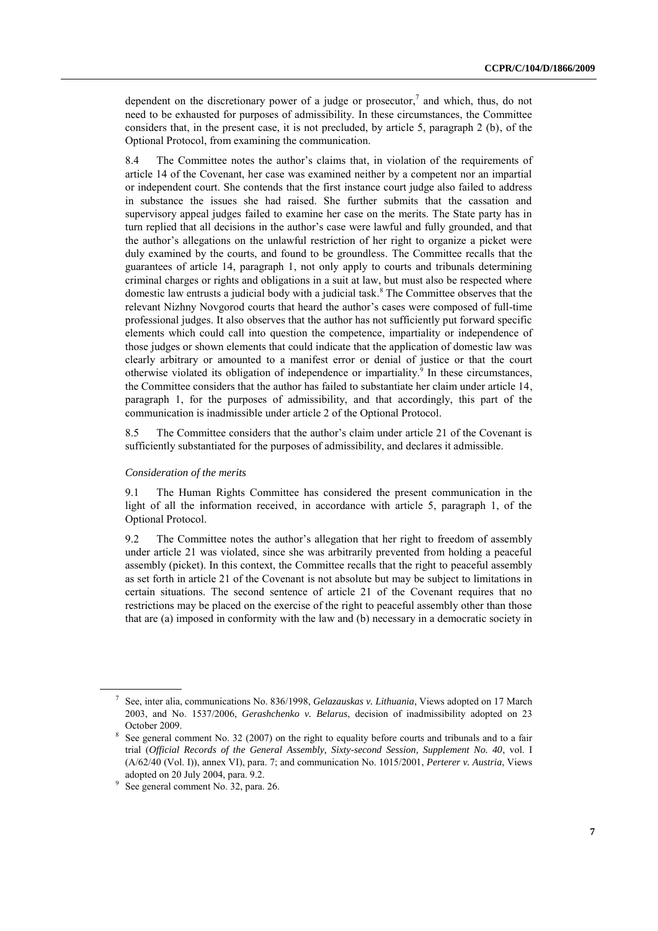dependent on the discretionary power of a judge or prosecutor, $\lambda$  and which, thus, do not need to be exhausted for purposes of admissibility. In these circumstances, the Committee considers that, in the present case, it is not precluded, by article 5, paragraph 2 (b), of the Optional Protocol, from examining the communication.

8.4 The Committee notes the author's claims that, in violation of the requirements of article 14 of the Covenant, her case was examined neither by a competent nor an impartial or independent court. She contends that the first instance court judge also failed to address in substance the issues she had raised. She further submits that the cassation and supervisory appeal judges failed to examine her case on the merits. The State party has in turn replied that all decisions in the author's case were lawful and fully grounded, and that the author's allegations on the unlawful restriction of her right to organize a picket were duly examined by the courts, and found to be groundless. The Committee recalls that the guarantees of article 14, paragraph 1, not only apply to courts and tribunals determining criminal charges or rights and obligations in a suit at law, but must also be respected where domestic law entrusts a judicial body with a judicial task. <sup>8</sup> The Committee observes that the relevant Nizhny Novgorod courts that heard the author's cases were composed of full-time professional judges. It also observes that the author has not sufficiently put forward specific elements which could call into question the competence, impartiality or independence of those judges or shown elements that could indicate that the application of domestic law was clearly arbitrary or amounted to a manifest error or denial of justice or that the court otherwise violated its obligation of independence or impartiality. 9 In these circumstances, the Committee considers that the author has failed to substantiate her claim under article 14, paragraph 1, for the purposes of admissibility, and that accordingly, this part of the communication is inadmissible under article 2 of the Optional Protocol.

8.5 The Committee considers that the author's claim under article 21 of the Covenant is sufficiently substantiated for the purposes of admissibility, and declares it admissible.

#### *Consideration of the merits*

9.1 The Human Rights Committee has considered the present communication in the light of all the information received, in accordance with article 5, paragraph 1, of the Optional Protocol.

9.2 The Committee notes the author's allegation that her right to freedom of assembly under article 21 was violated, since she was arbitrarily prevented from holding a peaceful assembly (picket). In this context, the Committee recalls that the right to peaceful assembly as set forth in article 21 of the Covenant is not absolute but may be subject to limitations in certain situations. The second sentence of article 21 of the Covenant requires that no restrictions may be placed on the exercise of the right to peaceful assembly other than those that are (a) imposed in conformity with the law and (b) necessary in a democratic society in

<sup>7</sup> See, inter alia, communications No. 836/1998, *Gelazauskas v. Lithuania*, Views adopted on 17 March 2003, and No. [1537/2006,](http://sim.law.uu.nl/SIM/CaseLaw/CCPRcase.nsf/3167fd85523cbf75c12567c8004d4280/E4C36B8A4F0B6E91C125768700453057?Opendocument) *Gerashchenko v. Belarus*, decision of inadmissibility adopted on 23 October 2009.

<sup>&</sup>lt;sup>8</sup> See general comment No. 32 (2007) on the right to equality before courts and tribunals and to a fair trial (*Official Records of the General Assembly, Sixty-second Session, Supplement No. 40*, vol. I (A/62/40 (Vol. I)), annex VI), para. 7; and communication No. 1015/2001, *Perterer v. Austria*, Views adopted on 20 July 2004, para. 9.2.

<sup>9</sup> See general comment No. 32, para. 26.